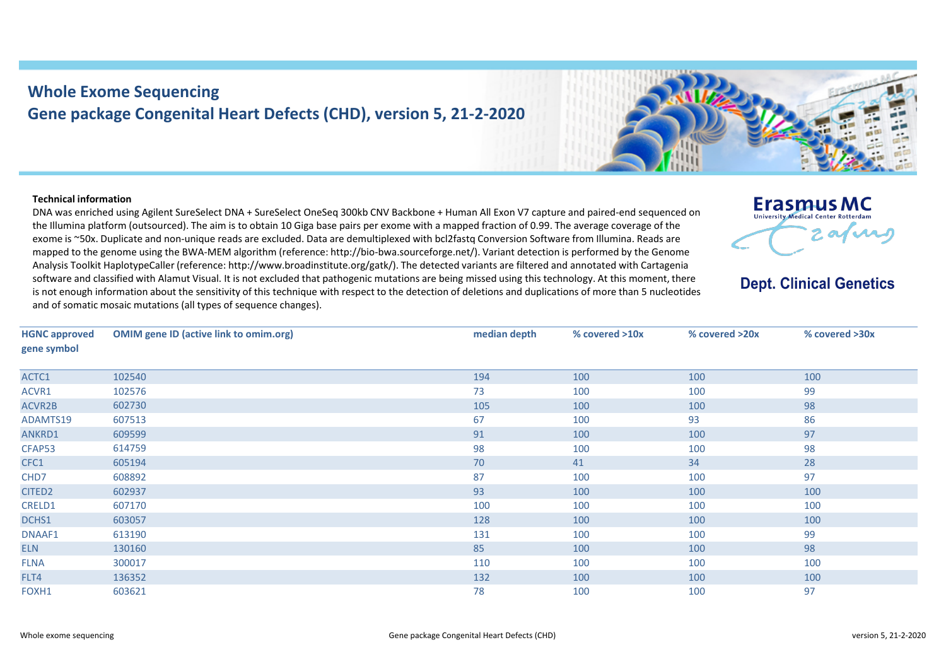## **Whole Exome Sequencing Gene package Congenital Heart Defects (CHD), version 5, 21-2-2020**



## **Technical information**

DNA was enriched using Agilent SureSelect DNA + SureSelect OneSeq 300kb CNV Backbone + Human All Exon V7 capture and paired-end sequenced on the Illumina platform (outsourced). The aim is to obtain 10 Giga base pairs per exome with a mapped fraction of 0.99. The average coverage of the exome is ~50x. Duplicate and non-unique reads are excluded. Data are demultiplexed with bcl2fastq Conversion Software from Illumina. Reads are mapped to the genome using the BWA-MEM algorithm (reference: http://bio-bwa.sourceforge.net/). Variant detection is performed by the Genome Analysis Toolkit HaplotypeCaller (reference: http://www.broadinstitute.org/gatk/). The detected variants are filtered and annotated with Cartagenia software and classified with Alamut Visual. It is not excluded that pathogenic mutations are being missed using this technology. At this moment, there is not enough information about the sensitivity of this technique with respect to the detection of deletions and duplications of more than 5 nucleotides and of somatic mosaic mutations (all types of sequence changes).



**Dept. Clinical Genetics** 

| <b>HGNC approved</b><br>gene symbol | <b>OMIM gene ID (active link to omim.org)</b> | median depth | % covered >10x | % covered >20x | % covered >30x |  |
|-------------------------------------|-----------------------------------------------|--------------|----------------|----------------|----------------|--|
|                                     |                                               |              |                |                |                |  |
| ACTC1                               | 102540                                        | 194          | 100            | 100            | 100            |  |
| ACVR1                               | 102576                                        | 73           | 100            | 100            | 99             |  |
| <b>ACVR2B</b>                       | 602730                                        | 105          | 100            | 100            | 98             |  |
| ADAMTS19                            | 607513                                        | 67           | 100            | 93             | 86             |  |
| ANKRD1                              | 609599                                        | 91           | 100            | 100            | 97             |  |
| CFAP53                              | 614759                                        | 98           | 100            | 100            | 98             |  |
| CFC1                                | 605194                                        | 70           | 41             | 34             | 28             |  |
| CHD7                                | 608892                                        | 87           | 100            | 100            | 97             |  |
| CITED <sub>2</sub>                  | 602937                                        | 93           | 100            | 100            | 100            |  |
| CRELD1                              | 607170                                        | 100          | 100            | 100            | 100            |  |
| DCHS1                               | 603057                                        | 128          | 100            | 100            | 100            |  |
| DNAAF1                              | 613190                                        | 131          | 100            | 100            | 99             |  |
| <b>ELN</b>                          | 130160                                        | 85           | 100            | 100            | 98             |  |
| <b>FLNA</b>                         | 300017                                        | 110          | 100            | 100            | 100            |  |
| FLT4                                | 136352                                        | 132          | 100            | 100            | 100            |  |
| FOXH1                               | 603621                                        | 78           | 100            | 100            | 97             |  |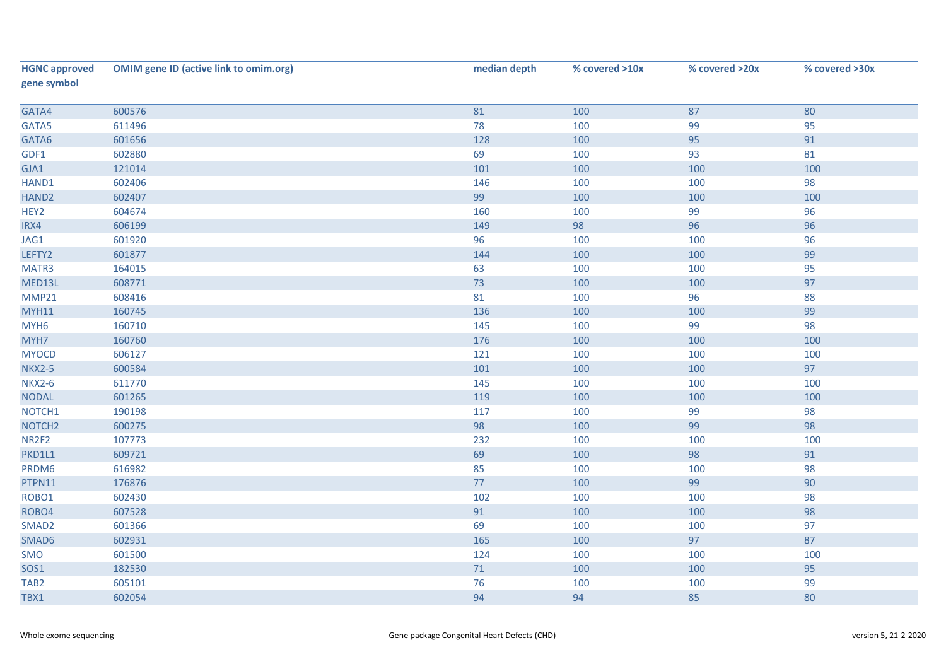| <b>HGNC approved</b><br>gene symbol | <b>OMIM gene ID (active link to omim.org)</b> | median depth | % covered >10x | % covered >20x | % covered >30x |
|-------------------------------------|-----------------------------------------------|--------------|----------------|----------------|----------------|
| GATA4                               | 600576                                        | 81           | 100            | 87             | 80             |
| GATA5                               | 611496                                        | 78           | 100            | 99             | 95             |
| GATA6                               | 601656                                        | 128          | 100            | 95             | 91             |
| GDF1                                | 602880                                        | 69           | 100            | 93             | 81             |
| GJA1                                | 121014                                        | 101          | 100            | 100            | 100            |
| HAND1                               | 602406                                        | 146          | 100            | 100            | 98             |
| HAND <sub>2</sub>                   | 602407                                        | 99           | 100            | 100            | 100            |
| HEY2                                | 604674                                        | 160          | 100            | 99             | 96             |
| IRX4                                | 606199                                        | 149          | 98             | 96             | 96             |
| JAG1                                | 601920                                        | 96           | 100            | 100            | 96             |
| LEFTY2                              | 601877                                        | 144          | 100            | 100            | 99             |
| MATR3                               | 164015                                        | 63           | 100            | 100            | 95             |
| MED13L                              | 608771                                        | 73           | 100            | 100            | 97             |
| MMP21                               | 608416                                        | 81           | 100            | 96             | 88             |
| <b>MYH11</b>                        | 160745                                        | 136          | 100            | 100            | 99             |
| MYH <sub>6</sub>                    | 160710                                        | 145          | 100            | 99             | 98             |
| MYH7                                | 160760                                        | 176          | 100            | 100            | 100            |
| <b>MYOCD</b>                        | 606127                                        | 121          | 100            | 100            | 100            |
| <b>NKX2-5</b>                       | 600584                                        | 101          | 100            | 100            | 97             |
| <b>NKX2-6</b>                       | 611770                                        | 145          | 100            | 100            | 100            |
| <b>NODAL</b>                        | 601265                                        | 119          | 100            | 100            | 100            |
| NOTCH1                              | 190198                                        | 117          | 100            | 99             | 98             |
| NOTCH <sub>2</sub>                  | 600275                                        | 98           | 100            | 99             | 98             |
| NR2F2                               | 107773                                        | 232          | 100            | 100            | 100            |
| PKD1L1                              | 609721                                        | 69           | 100            | 98             | 91             |
| PRDM6                               | 616982                                        | 85           | 100            | 100            | 98             |
| PTPN11                              | 176876                                        | 77           | 100            | 99             | 90             |
| ROBO1                               | 602430                                        | 102          | 100            | 100            | 98             |
| ROBO4                               | 607528                                        | 91           | 100            | 100            | 98             |
| SMAD <sub>2</sub>                   | 601366                                        | 69           | 100            | 100            | 97             |
| SMAD6                               | 602931                                        | 165          | 100            | 97             | 87             |
| SMO                                 | 601500                                        | 124          | 100            | 100            | 100            |
| SOS1                                | 182530                                        | $71\,$       | 100            | 100            | 95             |
| TAB <sub>2</sub>                    | 605101                                        | 76           | 100            | 100            | 99             |
| TBX1                                | 602054                                        | 94           | 94             | 85             | 80             |